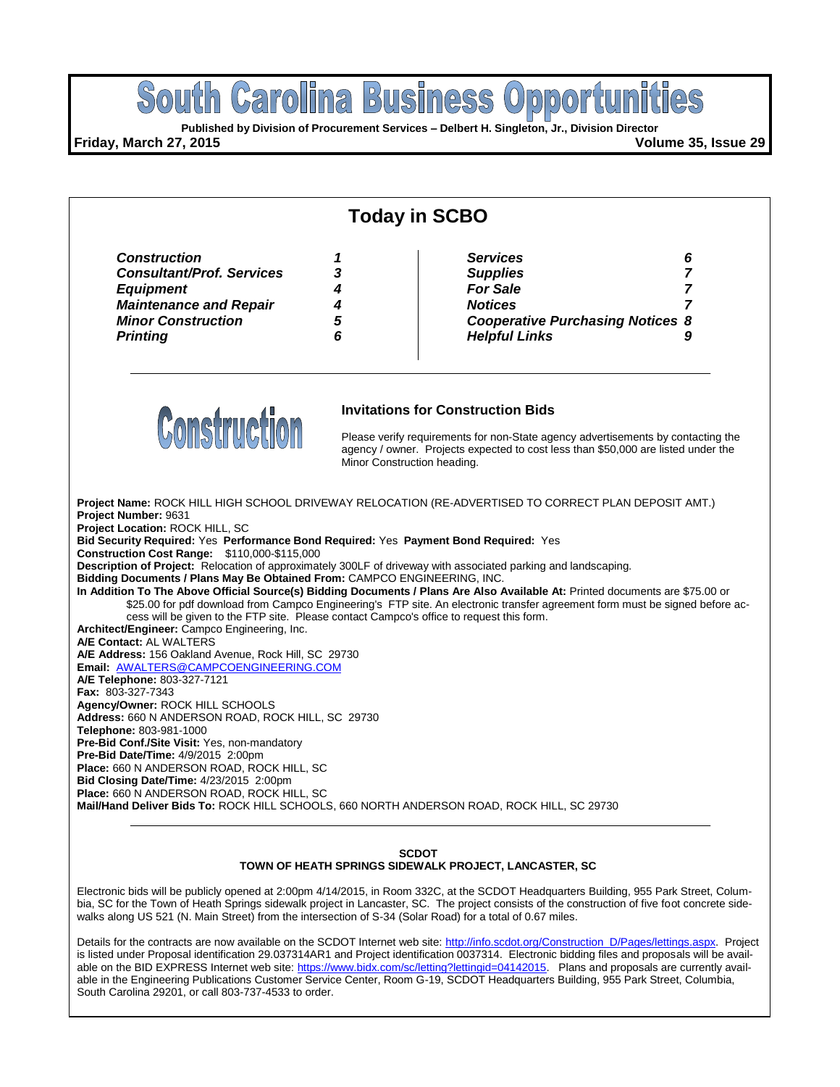

#### **SCDOT TOWN OF HEATH SPRINGS SIDEWALK PROJECT, LANCASTER, SC**

Electronic bids will be publicly opened at 2:00pm 4/14/2015, in Room 332C, at the SCDOT Headquarters Building, 955 Park Street, Columbia, SC for the Town of Heath Springs sidewalk project in Lancaster, SC. The project consists of the construction of five foot concrete sidewalks along US 521 (N. Main Street) from the intersection of S-34 (Solar Road) for a total of 0.67 miles.

Details for the contracts are now available on the SCDOT Internet web site[: http://info.scdot.org/Construction\\_D/Pages/lettings.aspx.](http://info.scdot.org/Construction_D/Pages/lettings.aspx) Project is listed under Proposal identification 29.037314AR1 and Project identification 0037314. Electronic bidding files and proposals will be avail-able on the BID EXPRESS Internet web site[: https://www.bidx.com/sc/letting?lettingid=04142015.](https://www.bidx.com/sc/letting?lettingid=04142015) Plans and proposals are currently available in the Engineering Publications Customer Service Center, Room G-19, SCDOT Headquarters Building, 955 Park Street, Columbia, South Carolina 29201, or call 803-737-4533 to order.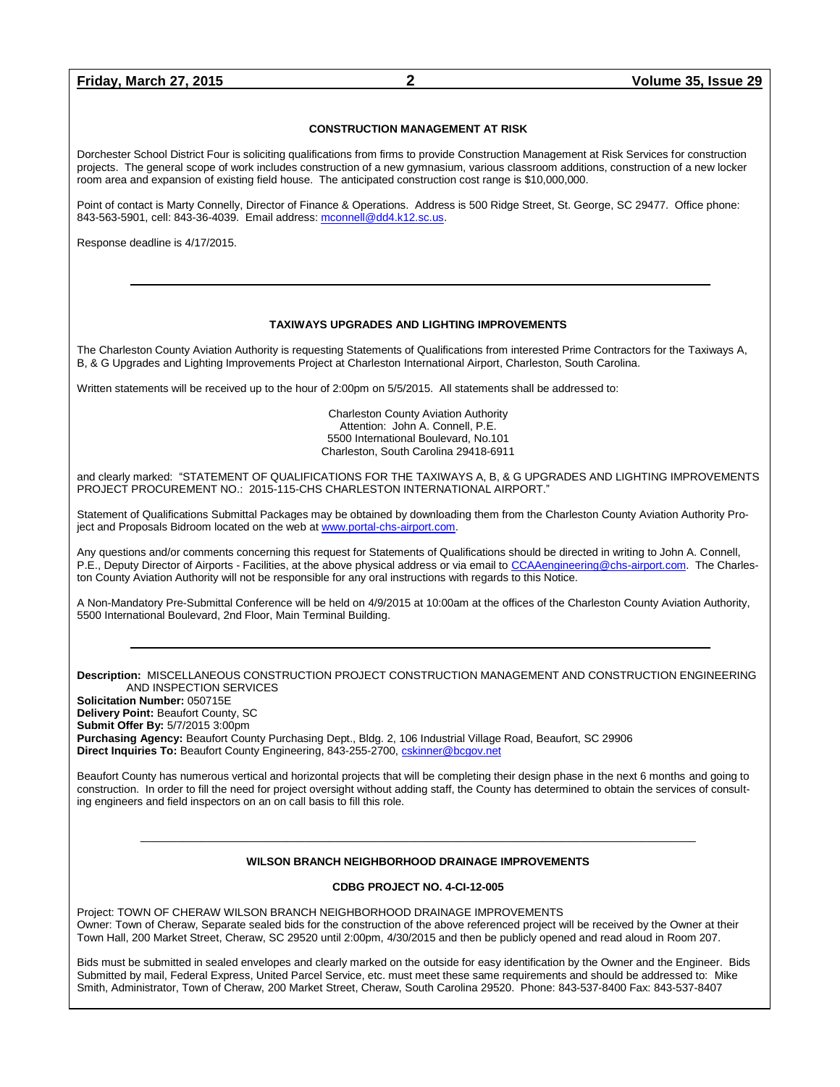#### **CONSTRUCTION MANAGEMENT AT RISK**

Dorchester School District Four is soliciting qualifications from firms to provide Construction Management at Risk Services for construction projects. The general scope of work includes construction of a new gymnasium, various classroom additions, construction of a new locker room area and expansion of existing field house. The anticipated construction cost range is \$10,000,000.

Point of contact is Marty Connelly, Director of Finance & Operations. Address is 500 Ridge Street, St. George, SC 29477. Office phone: 843-563-5901, cell: 843-36-4039. Email address: [mconnell@dd4.k12.sc.us.](mailto:mconnell@dd4.k12.sc.us) 

Response deadline is 4/17/2015.

#### **TAXIWAYS UPGRADES AND LIGHTING IMPROVEMENTS**

The Charleston County Aviation Authority is requesting Statements of Qualifications from interested Prime Contractors for the Taxiways A, B, & G Upgrades and Lighting Improvements Project at Charleston International Airport, Charleston, South Carolina.

Written statements will be received up to the hour of 2:00pm on 5/5/2015. All statements shall be addressed to:

Charleston County Aviation Authority Attention: John A. Connell, P.E. 5500 International Boulevard, No.101 Charleston, South Carolina 29418-6911

and clearly marked: "STATEMENT OF QUALIFICATIONS FOR THE TAXIWAYS A, B, & G UPGRADES AND LIGHTING IMPROVEMENTS PROJECT PROCUREMENT NO.: 2015-115-CHS CHARLESTON INTERNATIONAL AIRPORT."

Statement of Qualifications Submittal Packages may be obtained by downloading them from the Charleston County Aviation Authority Project and Proposals Bidroom located on the web a[t www.portal-chs-airport.com.](http://www.portal-chs-airport.com/)

Any questions and/or comments concerning this request for Statements of Qualifications should be directed in writing to John A. Connell, P.E., Deputy Director of Airports - Facilities, at the above physical address or via email t[o CCAAengineering@chs-airport.com.](mailto:CCAAengineering@chs-airport.com) The Charleston County Aviation Authority will not be responsible for any oral instructions with regards to this Notice.

A Non-Mandatory Pre-Submittal Conference will be held on 4/9/2015 at 10:00am at the offices of the Charleston County Aviation Authority, 5500 International Boulevard, 2nd Floor, Main Terminal Building.

#### **Description:** MISCELLANEOUS CONSTRUCTION PROJECT CONSTRUCTION MANAGEMENT AND CONSTRUCTION ENGINEERING AND INSPECTION SERVICES

**Solicitation Number:** 050715E **Delivery Point:** Beaufort County, SC **Submit Offer By:** 5/7/2015 3:00pm **Purchasing Agency:** Beaufort County Purchasing Dept., Bldg. 2, 106 Industrial Village Road, Beaufort, SC 29906 Direct Inquiries To: Beaufort County Engineering, 843-255-2700[, cskinner@bcgov.net](mailto:cskinner@bcgov.net)

Beaufort County has numerous vertical and horizontal projects that will be completing their design phase in the next 6 months and going to construction. In order to fill the need for project oversight without adding staff, the County has determined to obtain the services of consulting engineers and field inspectors on an on call basis to fill this role.

### $\_$  , and the set of the set of the set of the set of the set of the set of the set of the set of the set of the set of the set of the set of the set of the set of the set of the set of the set of the set of the set of th **WILSON BRANCH NEIGHBORHOOD DRAINAGE IMPROVEMENTS**

#### **CDBG PROJECT NO. 4-CI-12-005**

Project: TOWN OF CHERAW WILSON BRANCH NEIGHBORHOOD DRAINAGE IMPROVEMENTS Owner: Town of Cheraw, Separate sealed bids for the construction of the above referenced project will be received by the Owner at their Town Hall, 200 Market Street, Cheraw, SC 29520 until 2:00pm, 4/30/2015 and then be publicly opened and read aloud in Room 207.

Bids must be submitted in sealed envelopes and clearly marked on the outside for easy identification by the Owner and the Engineer. Bids Submitted by mail, Federal Express, United Parcel Service, etc. must meet these same requirements and should be addressed to: Mike Smith, Administrator, Town of Cheraw, 200 Market Street, Cheraw, South Carolina 29520. Phone: 843-537-8400 Fax: 843-537-8407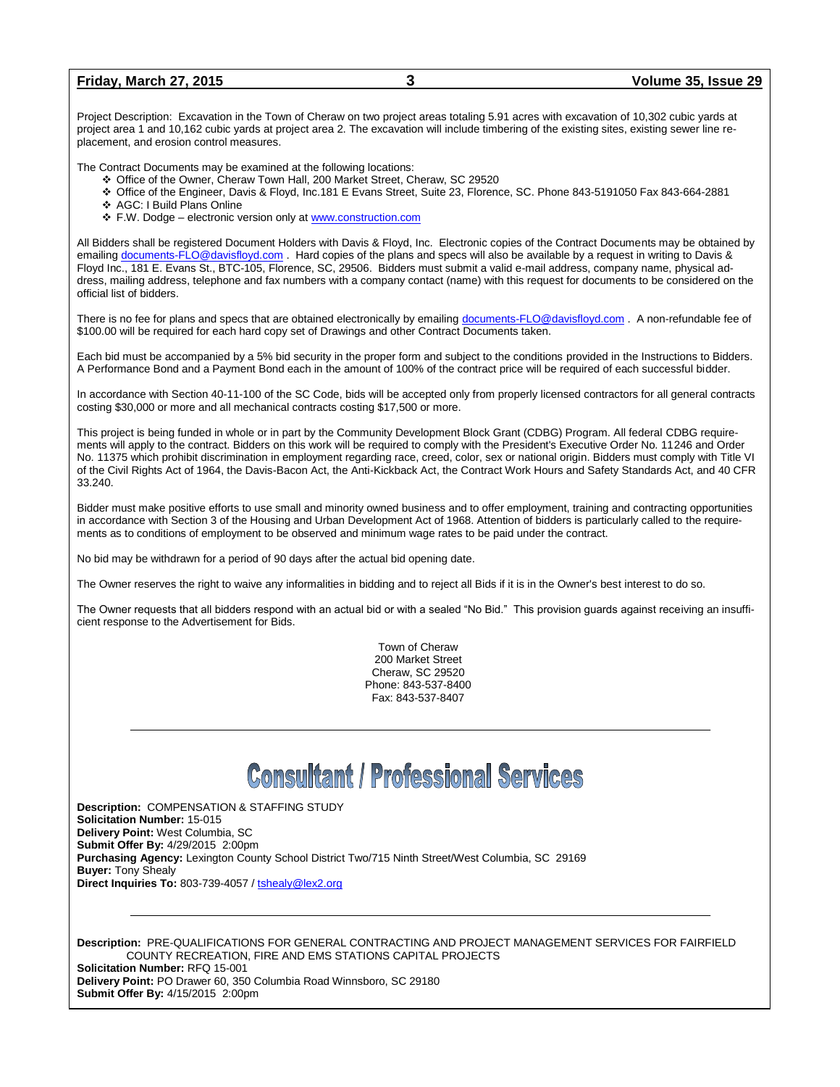| <b>Friday, March 27, 2015</b> | Volume 35, Issue 29 |  |
|-------------------------------|---------------------|--|
|                               |                     |  |

Project Description: Excavation in the Town of Cheraw on two project areas totaling 5.91 acres with excavation of 10,302 cubic yards at project area 1 and 10,162 cubic yards at project area 2. The excavation will include timbering of the existing sites, existing sewer line replacement, and erosion control measures.

The Contract Documents may be examined at the following locations:

- Office of the Owner, Cheraw Town Hall, 200 Market Street, Cheraw, SC 29520
- Office of the Engineer, Davis & Floyd, Inc.181 E Evans Street, Suite 23, Florence, SC. Phone 843-5191050 Fax 843-664-2881
- AGC: I Build Plans Online
- F.W. Dodge electronic version only at [www.construction.com](http://www.construction.com/)

All Bidders shall be registered Document Holders with Davis & Floyd, Inc. Electronic copies of the Contract Documents may be obtained by emailing [documents-FLO@davisfloyd.com](mailto:documents-FLO@davisfloyd.com) . Hard copies of the plans and specs will also be available by a request in writing to Davis & Floyd Inc., 181 E. Evans St., BTC-105, Florence, SC, 29506. Bidders must submit a valid e-mail address, company name, physical address, mailing address, telephone and fax numbers with a company contact (name) with this request for documents to be considered on the official list of bidders.

There is no fee for plans and specs that are obtained electronically by emailing [documents-FLO@davisfloyd.com](mailto:documents-FLO@davisfloyd.com) . A non-refundable fee of \$100.00 will be required for each hard copy set of Drawings and other Contract Documents taken.

Each bid must be accompanied by a 5% bid security in the proper form and subject to the conditions provided in the Instructions to Bidders. A Performance Bond and a Payment Bond each in the amount of 100% of the contract price will be required of each successful bidder.

In accordance with Section 40-11-100 of the SC Code, bids will be accepted only from properly licensed contractors for all general contracts costing \$30,000 or more and all mechanical contracts costing \$17,500 or more.

This project is being funded in whole or in part by the Community Development Block Grant (CDBG) Program. All federal CDBG requirements will apply to the contract. Bidders on this work will be required to comply with the President's Executive Order No. 11246 and Order No. 11375 which prohibit discrimination in employment regarding race, creed, color, sex or national origin. Bidders must comply with Title VI of the Civil Rights Act of 1964, the Davis-Bacon Act, the Anti-Kickback Act, the Contract Work Hours and Safety Standards Act, and 40 CFR 33.240.

Bidder must make positive efforts to use small and minority owned business and to offer employment, training and contracting opportunities in accordance with Section 3 of the Housing and Urban Development Act of 1968. Attention of bidders is particularly called to the requirements as to conditions of employment to be observed and minimum wage rates to be paid under the contract.

No bid may be withdrawn for a period of 90 days after the actual bid opening date.

The Owner reserves the right to waive any informalities in bidding and to reject all Bids if it is in the Owner's best interest to do so.

The Owner requests that all bidders respond with an actual bid or with a sealed "No Bid." This provision guards against receiving an insufficient response to the Advertisement for Bids.

> Town of Cheraw 200 Market Street Cheraw, SC 29520 Phone: 843-537-8400 Fax: 843-537-8407

# **Consultant / Professional Services**

**Description:** COMPENSATION & STAFFING STUDY **Solicitation Number:** 15-015 **Delivery Point:** West Columbia, SC **Submit Offer By:** 4/29/2015 2:00pm **Purchasing Agency:** Lexington County School District Two/715 Ninth Street/West Columbia, SC 29169 **Buyer:** Tony Shealy **Direct Inquiries To:** 803-739-4057 / tshealy@lex2.org

**Description:** PRE-QUALIFICATIONS FOR GENERAL CONTRACTING AND PROJECT MANAGEMENT SERVICES FOR FAIRFIELD COUNTY RECREATION, FIRE AND EMS STATIONS CAPITAL PROJECTS **Solicitation Number:** RFQ 15-001

**Delivery Point:** PO Drawer 60, 350 Columbia Road Winnsboro, SC 29180 **Submit Offer By:** 4/15/2015 2:00pm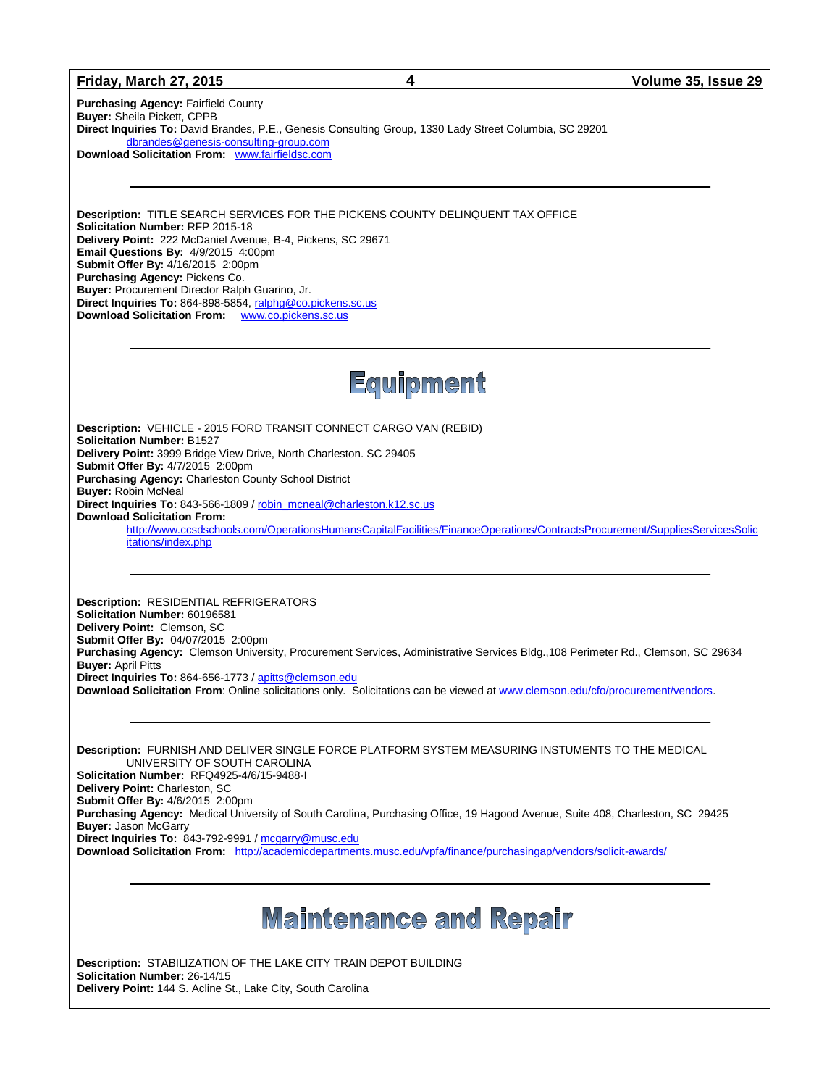#### **Friday, March 27, 2015 4 Volume 35, Issue 29**

**Purchasing Agency:** Fairfield County **Buyer:** Sheila Pickett, CPPB **Direct Inquiries To:** David Brandes, P.E., Genesis Consulting Group, 1330 Lady Street Columbia, SC 29201 [dbrandes@genesis-consulting-group.com](mailto:dbrandes@genesis-consulting-group.com)  **Download Solicitation From:** [www.fairfieldsc.com](http://www.fairfieldsc.com/)

**Description:** TITLE SEARCH SERVICES FOR THE PICKENS COUNTY DELINQUENT TAX OFFICE **Solicitation Number:** RFP 2015-18 **Delivery Point:** 222 McDaniel Avenue, B-4, Pickens, SC 29671 **Email Questions By:** 4/9/2015 4:00pm **Submit Offer By:** 4/16/2015 2:00pm **Purchasing Agency:** Pickens Co. **Buyer:** Procurement Director Ralph Guarino, Jr. Direct Inquiries To: 864-898-5854, ralphg@co.pickens.sc.us **Download Solicitation From:** [www.co.pickens.sc.us](http://www.co.pickens.sc.us/)

## Equipment

**Description:** VEHICLE - 2015 FORD TRANSIT CONNECT CARGO VAN (REBID) **Solicitation Number:** B1527 **Delivery Point:** 3999 Bridge View Drive, North Charleston. SC 29405 **Submit Offer By:** 4/7/2015 2:00pm **Purchasing Agency:** Charleston County School District **Buyer:** Robin McNeal **Direct Inquiries To:** 843-566-1809 / [robin\\_mcneal@charleston.k12.sc.us](mailto:robin_mcneal@charleston.k12.sc.us) **Download Solicitation From:** [http://www.ccsdschools.com/OperationsHumansCapitalFacilities/FinanceOperations/ContractsProcurement/SuppliesServicesSolic](http://www.ccsdschools.com/OperationsHumansCapitalFacilities/FinanceOperations/ContractsProcurement/SuppliesServicesSolicitations/index.php) itations/index.php

**Description:** RESIDENTIAL REFRIGERATORS **Solicitation Number:** 60196581 **Delivery Point:** Clemson, SC **Submit Offer By:** 04/07/2015 2:00pm **Purchasing Agency:** Clemson University, Procurement Services, Administrative Services Bldg.,108 Perimeter Rd., Clemson, SC 29634 **Buyer:** April Pitts **Direct Inquiries To:** 864-656-1773 / [apitts@clemson.edu](mailto:apitts@clemson.edu)  **Download Solicitation From**: Online solicitations only. Solicitations can be viewed at [www.clemson.edu/cfo/procurement/vendors.](http://www.clemson.edu/cfo/procurement/vendors)

**Description:** FURNISH AND DELIVER SINGLE FORCE PLATFORM SYSTEM MEASURING INSTUMENTS TO THE MEDICAL UNIVERSITY OF SOUTH CAROLINA **Solicitation Number:** RFQ4925-4/6/15-9488-I **Delivery Point:** Charleston, SC **Submit Offer By:** 4/6/2015 2:00pm **Purchasing Agency:** Medical University of South Carolina, Purchasing Office, 19 Hagood Avenue, Suite 408, Charleston, SC 29425 **Buyer:** Jason McGarry **Direct Inquiries To:** 843-792-9991 / [mcgarry@musc.edu](mailto:mcgarry@musc.edu) **Download Solicitation From:** <http://academicdepartments.musc.edu/vpfa/finance/purchasingap/vendors/solicit-awards/>

## **Maintenance and Repair**

**Description:** STABILIZATION OF THE LAKE CITY TRAIN DEPOT BUILDING **Solicitation Number:** 26-14/15 **Delivery Point:** 144 S. Acline St., Lake City, South Carolina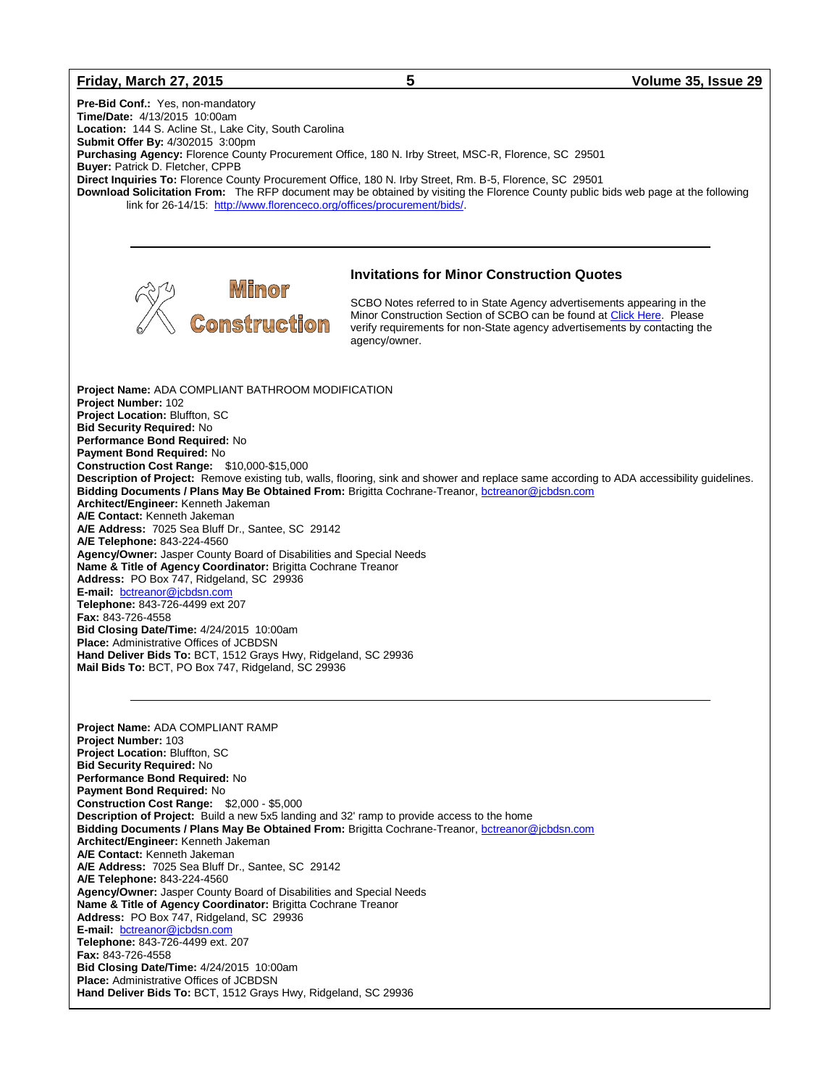#### **Friday, March 27, 2015 5 Volume 35, Issue 29**

**Pre-Bid Conf.:** Yes, non-mandatory **Time/Date:** 4/13/2015 10:00am **Location:** 144 S. Acline St., Lake City, South Carolina **Submit Offer By:** 4/302015 3:00pm **Purchasing Agency:** Florence County Procurement Office, 180 N. Irby Street, MSC-R, Florence, SC 29501 **Buyer:** Patrick D. Fletcher, CPPB **Direct Inquiries To:** Florence County Procurement Office, 180 N. Irby Street, Rm. B-5, Florence, SC 29501 **Download Solicitation From:** The RFP document may be obtained by visiting the Florence County public bids web page at the following link for 26-14/15: [http://www.florenceco.org/offices/procurement/bids/.](http://www.florenceco.org/offices/procurement/bids/) **Invitations for Minor Construction Quotes** SCBO Notes referred to in State Agency advertisements appearing in the Minor Construction Section of SCBO can be found at [Click Here.](http://www.mmo.sc.gov/PS/general/scbo/SCBO_Notes_060512.pdf) Please Construction verify requirements for non-State agency advertisements by contacting the agency/owner.**Project Name:** ADA COMPLIANT BATHROOM MODIFICATION **Project Number:** 102 **Project Location:** Bluffton, SC **Bid Security Required:** No **Performance Bond Required:** No **Payment Bond Required:** No **Construction Cost Range:** \$10,000-\$15,000 **Description of Project:** Remove existing tub, walls, flooring, sink and shower and replace same according to ADA accessibility guidelines. **Bidding Documents / Plans May Be Obtained From: Brigitta Cochrane-Treanor, bottreanor@jcbdsn.com Architect/Engineer:** Kenneth Jakeman **A/E Contact:** Kenneth Jakeman **A/E Address:** 7025 Sea Bluff Dr., Santee, SC 29142 **A/E Telephone:** 843-224-4560 **Agency/Owner:** Jasper County Board of Disabilities and Special Needs **Name & Title of Agency Coordinator:** Brigitta Cochrane Treanor **Address:** PO Box 747, Ridgeland, SC 29936 **E-mail:** [bctreanor@jcbdsn.com](mailto:bctreanor@jcbdsn.com) **Telephone:** 843-726-4499 ext 207 **Fax:** 843-726-4558 **Bid Closing Date/Time:** 4/24/2015 10:00am **Place:** Administrative Offices of JCBDSN **Hand Deliver Bids To:** BCT, 1512 Grays Hwy, Ridgeland, SC 29936 **Mail Bids To:** BCT, PO Box 747, Ridgeland, SC 29936 **Project Name:** ADA COMPLIANT RAMP **Project Number:** 103 **Project Location:** Bluffton, SC **Bid Security Required:** No **Performance Bond Required:** No **Payment Bond Required:** No **Construction Cost Range:** \$2,000 - \$5,000 **Description of Project:** Build a new 5x5 landing and 32' ramp to provide access to the home **Bidding Documents / Plans May Be Obtained From:** Brigitta Cochrane-Treanor, bottreanor@jcbdsn.com **Architect/Engineer:** Kenneth Jakeman **A/E Contact:** Kenneth Jakeman **A/E Address:** 7025 Sea Bluff Dr., Santee, SC 29142 **A/E Telephone:** 843-224-4560 **Agency/Owner:** Jasper County Board of Disabilities and Special Needs **Name & Title of Agency Coordinator:** Brigitta Cochrane Treanor **Address:** PO Box 747, Ridgeland, SC 29936 **E-mail:** [bctreanor@jcbdsn.com](mailto:bctreanor@jcbdsn.com) **Telephone:** 843-726-4499 ext. 207 **Fax:** 843-726-4558

- **Bid Closing Date/Time:** 4/24/2015 10:00am **Place:** Administrative Offices of JCBDSN
- **Hand Deliver Bids To:** BCT, 1512 Grays Hwy, Ridgeland, SC 29936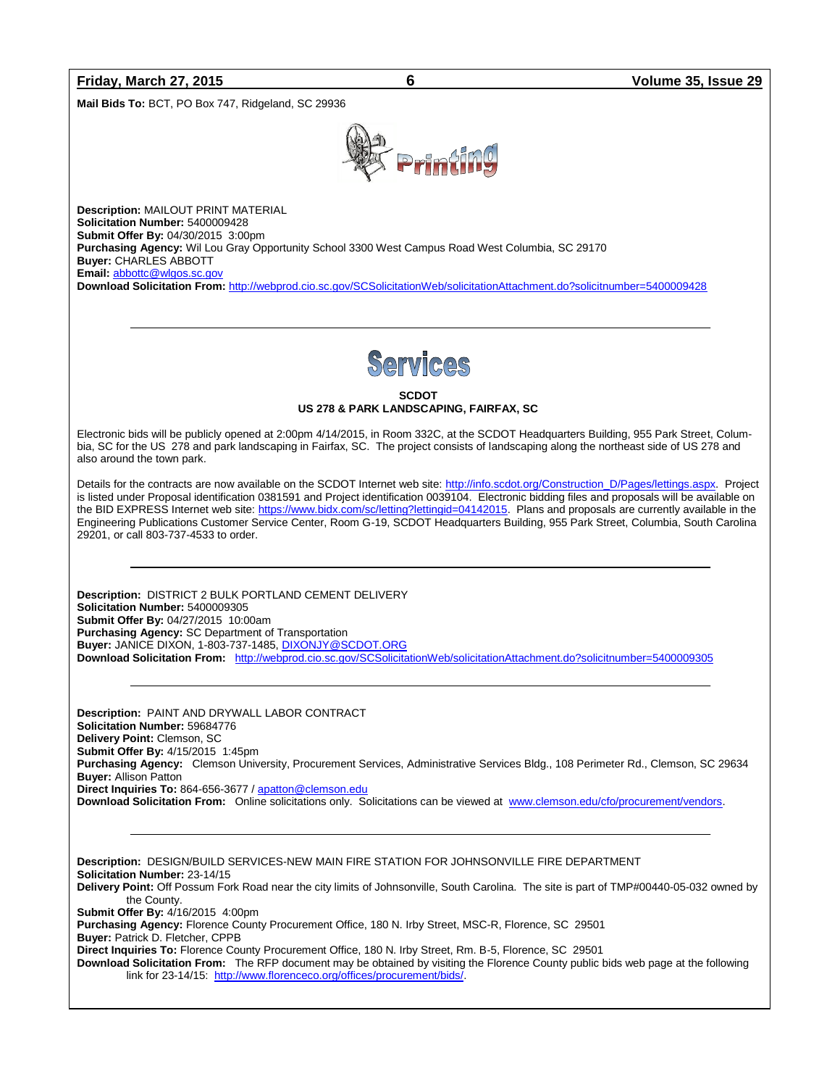### **Friday, March 27, 2015 6 Volume 35, Issue 29**

**Mail Bids To:** BCT, PO Box 747, Ridgeland, SC 29936



**Description:** MAILOUT PRINT MATERIAL **Solicitation Number:** 5400009428 **Submit Offer By:** 04/30/2015 3:00pm **Purchasing Agency:** Wil Lou Gray Opportunity School 3300 West Campus Road West Columbia, SC 29170 **Buyer:** CHARLES ABBOTT **Email:** [abbottc@wlgos.sc.gov](mailto:abbottc@wlgos.sc.gov)

**Download Solicitation From:** <http://webprod.cio.sc.gov/SCSolicitationWeb/solicitationAttachment.do?solicitnumber=5400009428>

**SCDOT US 278 & PARK LANDSCAPING, FAIRFAX, SC**

Electronic bids will be publicly opened at 2:00pm 4/14/2015, in Room 332C, at the SCDOT Headquarters Building, 955 Park Street, Columbia, SC for the US 278 and park landscaping in Fairfax, SC. The project consists of landscaping along the northeast side of US 278 and also around the town park.

Details for the contracts are now available on the SCDOT Internet web site[: http://info.scdot.org/Construction\\_D/Pages/lettings.aspx.](http://info.scdot.org/Construction_D/Pages/lettings.aspx) Project is listed under Proposal identification 0381591 and Project identification 0039104. Electronic bidding files and proposals will be available on the BID EXPRESS Internet web site: [https://www.bidx.com/sc/letting?lettingid=04142015.](https://www.bidx.com/sc/letting?lettingid=04142015) Plans and proposals are currently available in the Engineering Publications Customer Service Center, Room G-19, SCDOT Headquarters Building, 955 Park Street, Columbia, South Carolina 29201, or call 803-737-4533 to order.

**Description:** DISTRICT 2 BULK PORTLAND CEMENT DELIVERY **Solicitation Number:** 5400009305 **Submit Offer By:** 04/27/2015 10:00am **Purchasing Agency:** SC Department of Transportation **Buyer:** JANICE DIXON, 1-803-737-1485[, DIXONJY@SCDOT.ORG](mailto:DIXONJY@SCDOT.ORG) **Download Solicitation From:** <http://webprod.cio.sc.gov/SCSolicitationWeb/solicitationAttachment.do?solicitnumber=5400009305>

**Description:** PAINT AND DRYWALL LABOR CONTRACT **Solicitation Number:** 59684776 **Delivery Point:** Clemson, SC **Submit Offer By:** 4/15/2015 1:45pm **Purchasing Agency:** Clemson University, Procurement Services, Administrative Services Bldg., 108 Perimeter Rd., Clemson, SC 29634 **Buyer:** Allison Patton **Direct Inquiries To:** 864-656-3677 / [apatton@clemson.edu](mailto:apatton@clemson.edu) **Download Solicitation From:** Online solicitations only. Solicitations can be viewed at [www.clemson.edu/cfo/procurement/vendors.](http://www.clemson.edu/cfo/procurement/vendors) 

**Description:** DESIGN/BUILD SERVICES-NEW MAIN FIRE STATION FOR JOHNSONVILLE FIRE DEPARTMENT **Solicitation Number:** 23-14/15 **Delivery Point:** Off Possum Fork Road near the city limits of Johnsonville, South Carolina. The site is part of TMP#00440-05-032 owned by the County. **Submit Offer By:** 4/16/2015 4:00pm **Purchasing Agency:** Florence County Procurement Office, 180 N. Irby Street, MSC-R, Florence, SC 29501 **Buyer:** Patrick D. Fletcher, CPPB **Direct Inquiries To:** Florence County Procurement Office, 180 N. Irby Street, Rm. B-5, Florence, SC 29501 **Download Solicitation From:** The RFP document may be obtained by visiting the Florence County public bids web page at the following link for 23-14/15: [http://www.florenceco.org/offices/procurement/bids/.](http://www.florenceco.org/offices/procurement/bids/)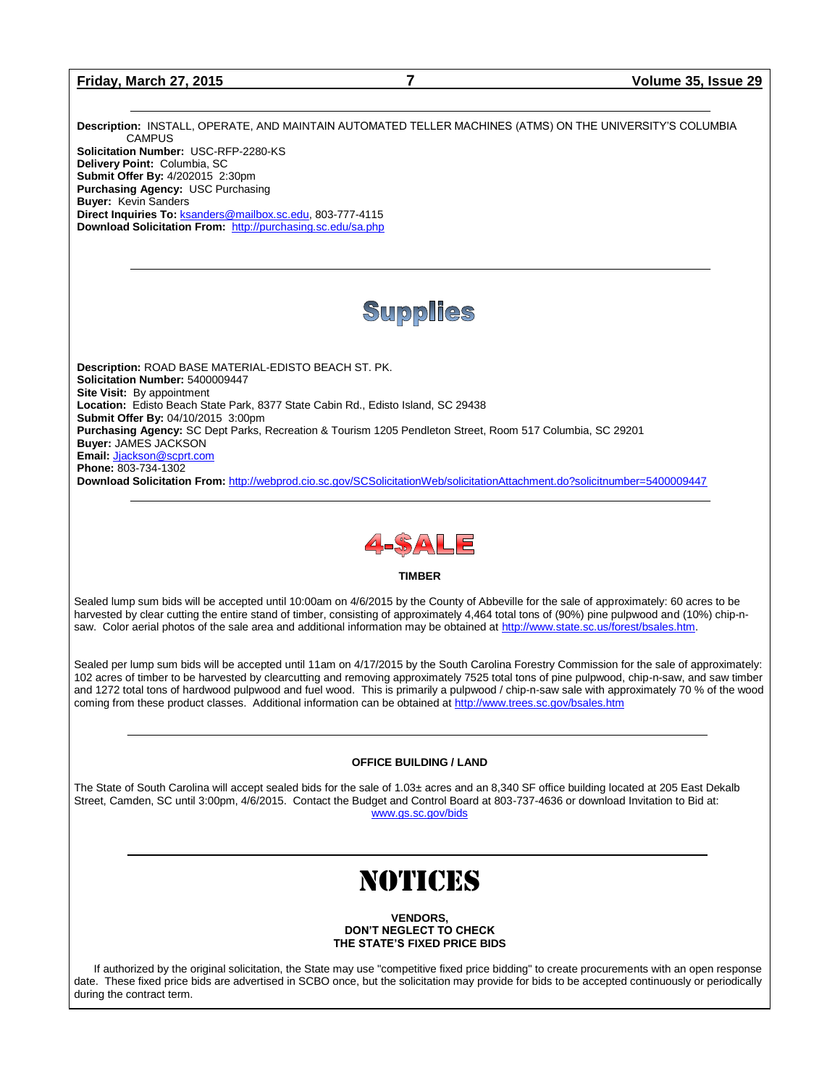**Friday, March 27, 2015 7 Volume 35, Issue 29**

**Description:** INSTALL, OPERATE, AND MAINTAIN AUTOMATED TELLER MACHINES (ATMS) ON THE UNIVERSITY'S COLUMBIA **CAMPUS Solicitation Number:** USC-RFP-2280-KS **Delivery Point:** Columbia, SC **Submit Offer By:** 4/202015 2:30pm **Purchasing Agency:** USC Purchasing **Buyer:** Kevin Sanders **Direct Inquiries To:** [ksanders@mailbox.sc.edu,](mailto:ksanders@mailbox.sc.edu) 803-777-4115 **Download Solicitation From:** <http://purchasing.sc.edu/sa.php>

### Supplies

**Description:** ROAD BASE MATERIAL-EDISTO BEACH ST. PK. **Solicitation Number:** 5400009447 **Site Visit:** By appointment **Location:** Edisto Beach State Park, 8377 State Cabin Rd., Edisto Island, SC 29438 **Submit Offer By:** 04/10/2015 3:00pm **Purchasing Agency:** SC Dept Parks, Recreation & Tourism 1205 Pendleton Street, Room 517 Columbia, SC 29201 **Buyer:** JAMES JACKSON **Email:** [Jjackson@scprt.com](mailto:Jjackson@scprt.com) **Phone:** 803-734-1302 **Download Solicitation From:** <http://webprod.cio.sc.gov/SCSolicitationWeb/solicitationAttachment.do?solicitnumber=5400009447>



#### **TIMBER**

Sealed lump sum bids will be accepted until 10:00am on 4/6/2015 by the County of Abbeville for the sale of approximately: 60 acres to be harvested by clear cutting the entire stand of timber, consisting of approximately 4,464 total tons of (90%) pine pulpwood and (10%) chip-nsaw. Color aerial photos of the sale area and additional information may be obtained at [http://www.state.sc.us/forest/bsales.htm.](http://www.state.sc.us/forest/bsales.htm)

Sealed per lump sum bids will be accepted until 11am on 4/17/2015 by the South Carolina Forestry Commission for the sale of approximately: 102 acres of timber to be harvested by clearcutting and removing approximately 7525 total tons of pine pulpwood, chip-n-saw, and saw timber and 1272 total tons of hardwood pulpwood and fuel wood. This is primarily a pulpwood / chip-n-saw sale with approximately 70 % of the wood coming from these product classes. Additional information can be obtained a[t http://www.trees.sc.gov/bsales.htm](http://www.trees.sc.gov/bsales.htm)

#### **OFFICE BUILDING / LAND**

The State of South Carolina will accept sealed bids for the sale of 1.03± acres and an 8,340 SF office building located at 205 East Dekalb Street, Camden, SC until 3:00pm, 4/6/2015. Contact the Budget and Control Board at 803-737-4636 or download Invitation to Bid at: [www.gs.sc.gov/bids](http://www.gs.sc.gov/bids)

# NOTICES

**VENDORS, DON'T NEGLECT TO CHECK THE STATE'S FIXED PRICE BIDS**

If authorized by the original solicitation, the State may use "competitive fixed price bidding" to create procurements with an open response date. These fixed price bids are advertised in SCBO once, but the solicitation may provide for bids to be accepted continuously or periodically during the contract term.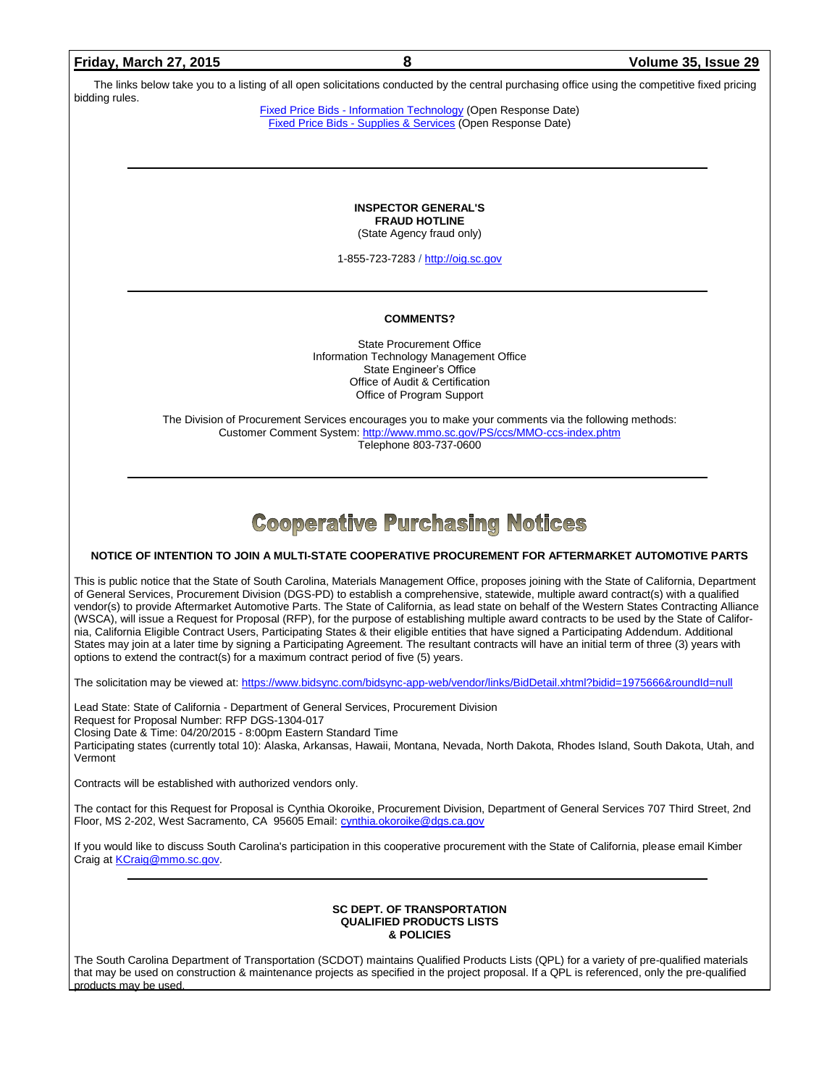The links below take you to a listing of all open solicitations conducted by the central purchasing office using the competitive fixed pricing bidding rules.

Fixed Price Bids - [Information Technology](http://www.mmo.sc.gov/PS/vendor/PS-vendor-fixed-price-bids-it.phtm) (Open Response Date) Fixed Price Bids - [Supplies & Services](http://www.mmo.sc.gov/PS/vendor/PS-vendor-fixed-price-bids-ss.phtm) (Open Response Date)

> **INSPECTOR GENERAL'S FRAUD HOTLINE** (State Agency fraud only)

1-855-723-7283 / [http://oig.sc.gov](http://oig.sc.gov/)

#### **COMMENTS?**

State Procurement Office Information Technology Management Office State Engineer's Office Office of Audit & Certification Office of Program Support

The Division of Procurement Services encourages you to make your comments via the following methods: Customer Comment System[: http://www.mmo.sc.gov/PS/ccs/MMO-ccs-index.phtm](http://www.mmo.sc.gov/PS/ccs/MMO-ccs-index.phtm) Telephone 803-737-0600

### **Cooperative Purchasing Notices**

#### **NOTICE OF INTENTION TO JOIN A MULTI-STATE COOPERATIVE PROCUREMENT FOR AFTERMARKET AUTOMOTIVE PARTS**

This is public notice that the State of South Carolina, Materials Management Office, proposes joining with the State of California, Department of General Services, Procurement Division (DGS-PD) to establish a comprehensive, statewide, multiple award contract(s) with a qualified vendor(s) to provide Aftermarket Automotive Parts. The State of California, as lead state on behalf of the Western States Contracting Alliance (WSCA), will issue a Request for Proposal (RFP), for the purpose of establishing multiple award contracts to be used by the State of California, California Eligible Contract Users, Participating States & their eligible entities that have signed a Participating Addendum. Additional States may join at a later time by signing a Participating Agreement. The resultant contracts will have an initial term of three (3) years with options to extend the contract(s) for a maximum contract period of five (5) years.

The solicitation may be viewed at[: https://www.bidsync.com/bidsync-app-web/vendor/links/BidDetail.xhtml?bidid=1975666&roundId=null](https://www.bidsync.com/bidsync-app-web/vendor/links/BidDetail.xhtml?bidid=1975666&roundId=null)

Lead State: State of California - Department of General Services, Procurement Division Request for Proposal Number: RFP DGS-1304-017 Closing Date & Time: 04/20/2015 - 8:00pm Eastern Standard Time Participating states (currently total 10): Alaska, Arkansas, Hawaii, Montana, Nevada, North Dakota, Rhodes Island, South Dakota, Utah, and Vermont

Contracts will be established with authorized vendors only.

The contact for this Request for Proposal is Cynthia Okoroike, Procurement Division, Department of General Services 707 Third Street, 2nd Floor, MS 2-202, West Sacramento, CA 95605 Email[: cynthia.okoroike@dgs.ca.gov](mailto:cynthia.okoroike@dgs.ca.gov)

If you would like to discuss South Carolina's participation in this cooperative procurement with the State of California, please email Kimber Craig at **KCraig@mmo.sc.gov.** 

#### **SC DEPT. OF TRANSPORTATION QUALIFIED PRODUCTS LISTS & POLICIES**

The South Carolina Department of Transportation (SCDOT) maintains Qualified Products Lists (QPL) for a variety of pre-qualified materials that may be used on construction & maintenance projects as specified in the project proposal. If a QPL is referenced, only the pre-qualified products may be used.